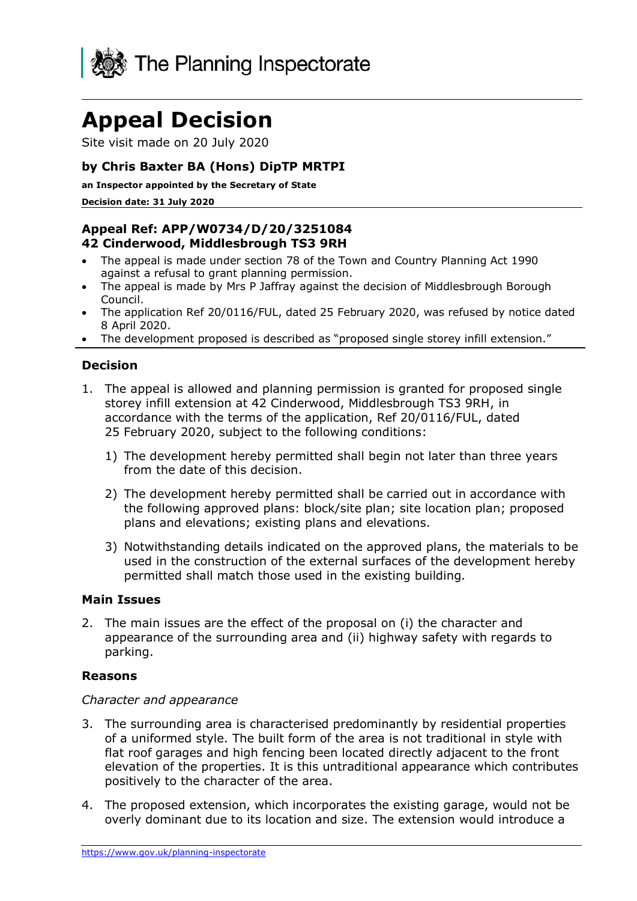

# **Appeal Decision**

Site visit made on 20 July 2020

## **by Chris Baxter BA (Hons) DipTP MRTPI**

**an Inspector appointed by the Secretary of State** 

**Decision date: 31 July 2020**

## **Appeal Ref: APP/W0734/D/20/3251084 42 Cinderwood, Middlesbrough TS3 9RH**

- The appeal is made under section 78 of the Town and Country Planning Act 1990 against a refusal to grant planning permission.
- The appeal is made by Mrs P Jaffray against the decision of Middlesbrough Borough Council.
- The application Ref 20/0116/FUL, dated 25 February 2020, was refused by notice dated 8 April 2020.
- The development proposed is described as "proposed single storey infill extension."

## **Decision**

- 1. The appeal is allowed and planning permission is granted for proposed single storey infill extension at 42 Cinderwood, Middlesbrough TS3 9RH, in accordance with the terms of the application, Ref 20/0116/FUL, dated 25 February 2020, subject to the following conditions:
	- 1) The development hereby permitted shall begin not later than three years from the date of this decision.
	- 2) The development hereby permitted shall be carried out in accordance with the following approved plans: block/site plan; site location plan; proposed plans and elevations; existing plans and elevations.
	- 3) Notwithstanding details indicated on the approved plans, the materials to be used in the construction of the external surfaces of the development hereby permitted shall match those used in the existing building.

#### **Main Issues**

2. The main issues are the effect of the proposal on (i) the character and appearance of the surrounding area and (ii) highway safety with regards to parking.

#### **Reasons**

#### *Character and appearance*

- 3. The surrounding area is characterised predominantly by residential properties of a uniformed style. The built form of the area is not traditional in style with flat roof garages and high fencing been located directly adjacent to the front elevation of the properties. It is this untraditional appearance which contributes positively to the character of the area.
- 4. The proposed extension, which incorporates the existing garage, would not be overly dominant due to its location and size. The extension would introduce a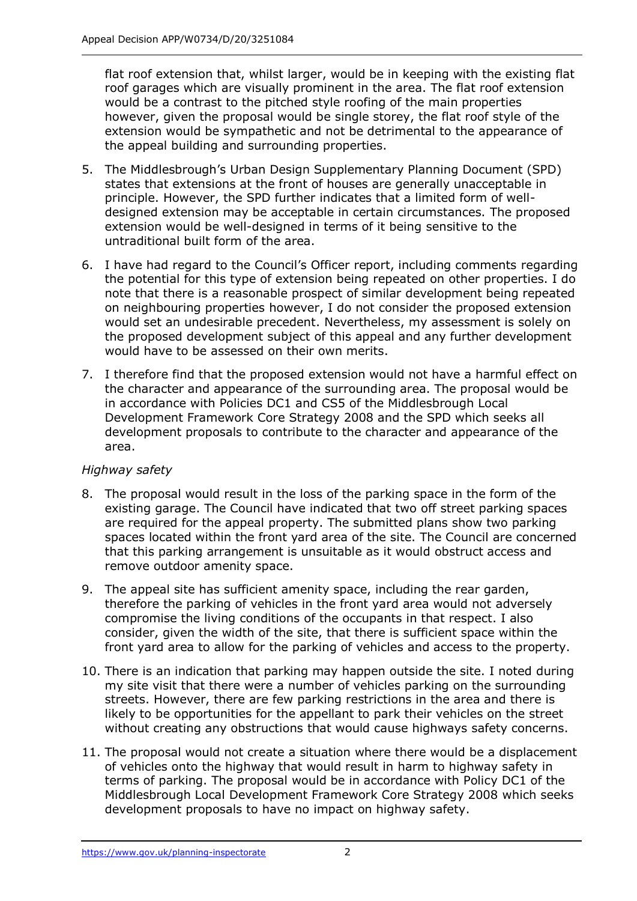flat roof extension that, whilst larger, would be in keeping with the existing flat roof garages which are visually prominent in the area. The flat roof extension would be a contrast to the pitched style roofing of the main properties however, given the proposal would be single storey, the flat roof style of the extension would be sympathetic and not be detrimental to the appearance of the appeal building and surrounding properties.

- 5. The Middlesbrough's Urban Design Supplementary Planning Document (SPD) states that extensions at the front of houses are generally unacceptable in principle. However, the SPD further indicates that a limited form of welldesigned extension may be acceptable in certain circumstances. The proposed extension would be well-designed in terms of it being sensitive to the untraditional built form of the area.
- 6. I have had regard to the Council's Officer report, including comments regarding the potential for this type of extension being repeated on other properties. I do note that there is a reasonable prospect of similar development being repeated on neighbouring properties however, I do not consider the proposed extension would set an undesirable precedent. Nevertheless, my assessment is solely on the proposed development subject of this appeal and any further development would have to be assessed on their own merits.
- 7. I therefore find that the proposed extension would not have a harmful effect on the character and appearance of the surrounding area. The proposal would be in accordance with Policies DC1 and CS5 of the Middlesbrough Local Development Framework Core Strategy 2008 and the SPD which seeks all development proposals to contribute to the character and appearance of the area.

#### *Highway safety*

- 8. The proposal would result in the loss of the parking space in the form of the existing garage. The Council have indicated that two off street parking spaces are required for the appeal property. The submitted plans show two parking spaces located within the front yard area of the site. The Council are concerned that this parking arrangement is unsuitable as it would obstruct access and remove outdoor amenity space.
- 9. The appeal site has sufficient amenity space, including the rear garden, therefore the parking of vehicles in the front yard area would not adversely compromise the living conditions of the occupants in that respect. I also consider, given the width of the site, that there is sufficient space within the front yard area to allow for the parking of vehicles and access to the property.
- 10. There is an indication that parking may happen outside the site. I noted during my site visit that there were a number of vehicles parking on the surrounding streets. However, there are few parking restrictions in the area and there is likely to be opportunities for the appellant to park their vehicles on the street without creating any obstructions that would cause highways safety concerns.
- 11. The proposal would not create a situation where there would be a displacement of vehicles onto the highway that would result in harm to highway safety in terms of parking. The proposal would be in accordance with Policy DC1 of the Middlesbrough Local Development Framework Core Strategy 2008 which seeks development proposals to have no impact on highway safety.